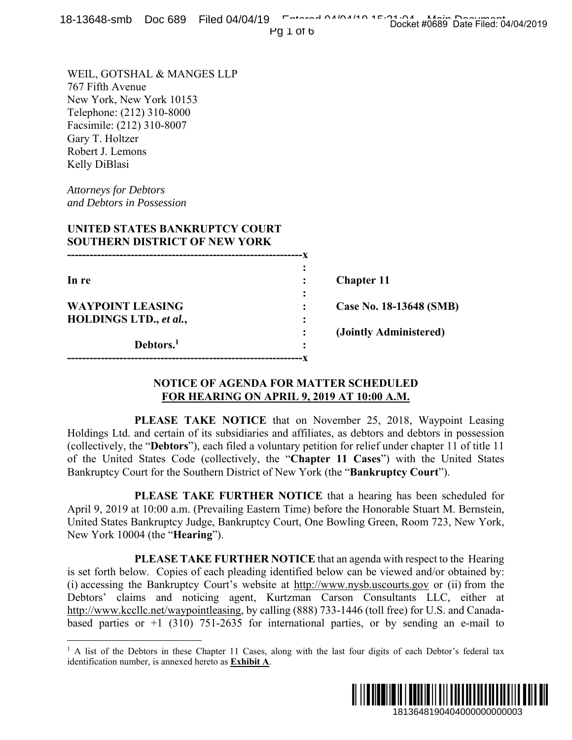Pg 1 of 6

WEIL, GOTSHAL & MANGES LLP 767 Fifth Avenue New York, New York 10153 Telephone: (212) 310-8000 Facsimile: (212) 310-8007 Gary T. Holtzer Robert J. Lemons Kelly DiBlasi

*Attorneys for Debtors and Debtors in Possession* 

 $\overline{a}$ 

# **UNITED STATES BANKRUPTCY COURT SOUTHERN DISTRICT OF NEW YORK**

| In re                   |   | <b>Chapter 11</b>       |
|-------------------------|---|-------------------------|
|                         | ٠ |                         |
| <b>WAYPOINT LEASING</b> |   | Case No. 18-13648 (SMB) |
| HOLDINGS LTD., et al.,  | ٠ |                         |
|                         |   | (Jointly Administered)  |
| Debtors. <sup>1</sup>   | ٠ |                         |
|                         |   |                         |

### **NOTICE OF AGENDA FOR MATTER SCHEDULED FOR HEARING ON APRIL 9, 2019 AT 10:00 A.M.**

 **PLEASE TAKE NOTICE** that on November 25, 2018, Waypoint Leasing Holdings Ltd. and certain of its subsidiaries and affiliates, as debtors and debtors in possession (collectively, the "**Debtors**"), each filed a voluntary petition for relief under chapter 11 of title 11 of the United States Code (collectively, the "**Chapter 11 Cases**") with the United States Bankruptcy Court for the Southern District of New York (the "**Bankruptcy Court**").

 **PLEASE TAKE FURTHER NOTICE** that a hearing has been scheduled for April 9, 2019 at 10:00 a.m. (Prevailing Eastern Time) before the Honorable Stuart M. Bernstein, United States Bankruptcy Judge, Bankruptcy Court, One Bowling Green, Room 723, New York, New York 10004 (the "**Hearing**").

 **PLEASE TAKE FURTHER NOTICE** that an agenda with respect to the Hearing is set forth below. Copies of each pleading identified below can be viewed and/or obtained by: (i) accessing the Bankruptcy Court's website at http://www.nysb.uscourts.gov or (ii) from the Debtors' claims and noticing agent, Kurtzman Carson Consultants LLC, either at http://www.kccllc.net/waypointleasing, by calling (888) 733-1446 (toll free) for U.S. and Canadabased parties or  $+1$  (310) 751-2635 for international parties, or by sending an e-mail to **1913648 (SMB)**<br> **1913648 (SMB)**<br> **ministered)**<br> **ILLED**<br> **ILLED**<br> **ILLED**<br> **ILM.**<br> **1**<br> **0118**, Waypoint Leasing<br>
inder chapter 11 of title 11<br>
with the United States<br> **121848 Court'').**<br> **1** Is absense scheduled for<br> **1** 

<sup>&</sup>lt;sup>1</sup> A list of the Debtors in these Chapter 11 Cases, along with the last four digits of each Debtor's federal tax identification number, is annexed hereto as **Exhibit A**.

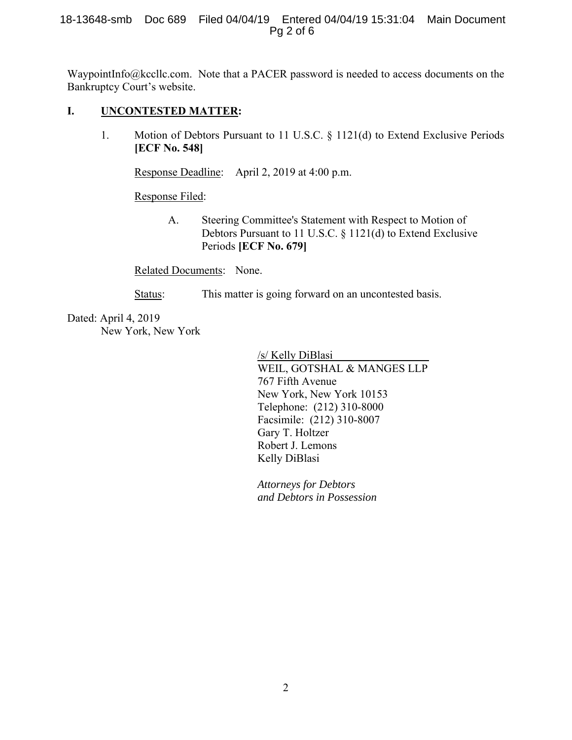#### 18-13648-smb Doc 689 Filed 04/04/19 Entered 04/04/19 15:31:04 Main Document Pg 2 of 6

WaypointInfo@kccllc.com. Note that a PACER password is needed to access documents on the Bankruptcy Court's website.

### **I. UNCONTESTED MATTER:**

1. Motion of Debtors Pursuant to 11 U.S.C. § 1121(d) to Extend Exclusive Periods **[ECF No. 548]**

Response Deadline: April 2, 2019 at 4:00 p.m.

Response Filed:

 A. Steering Committee's Statement with Respect to Motion of Debtors Pursuant to 11 U.S.C. § 1121(d) to Extend Exclusive Periods **[ECF No. 679]**

Related Documents: None.

Status: This matter is going forward on an uncontested basis.

Dated: April 4, 2019 New York, New York

> /s/ Kelly DiBlasi WEIL, GOTSHAL & MANGES LLP 767 Fifth Avenue New York, New York 10153 Telephone: (212) 310-8000 Facsimile: (212) 310-8007 Gary T. Holtzer Robert J. Lemons Kelly DiBlasi

*Attorneys for Debtors and Debtors in Possession*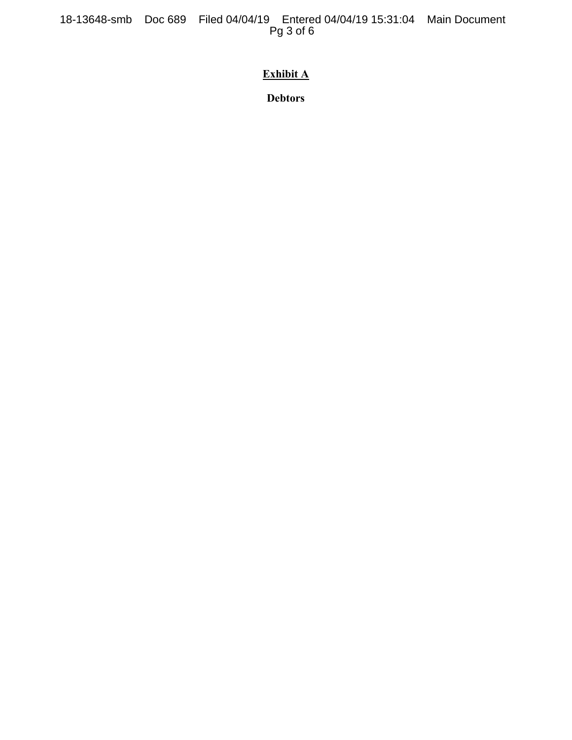18-13648-smb Doc 689 Filed 04/04/19 Entered 04/04/19 15:31:04 Main Document Pg 3 of 6

# **Exhibit A**

**Debtors**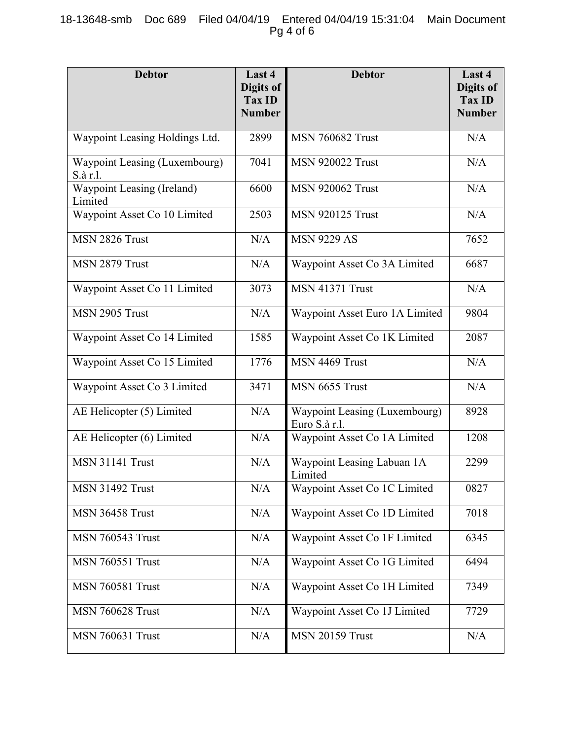### 18-13648-smb Doc 689 Filed 04/04/19 Entered 04/04/19 15:31:04 Main Document Pg 4 of 6

| <b>Debtor</b>                             | Last 4<br>Digits of<br><b>Tax ID</b><br><b>Number</b> | <b>Debtor</b>                                  | Last 4<br>Digits of<br><b>Tax ID</b><br><b>Number</b> |
|-------------------------------------------|-------------------------------------------------------|------------------------------------------------|-------------------------------------------------------|
| Waypoint Leasing Holdings Ltd.            | 2899                                                  | <b>MSN 760682 Trust</b>                        | N/A                                                   |
| Waypoint Leasing (Luxembourg)<br>S.à r.l. | 7041                                                  | <b>MSN 920022 Trust</b>                        | N/A                                                   |
| Waypoint Leasing (Ireland)<br>Limited     | 6600                                                  | <b>MSN 920062 Trust</b>                        | N/A                                                   |
| Waypoint Asset Co 10 Limited              | 2503                                                  | <b>MSN 920125 Trust</b>                        | N/A                                                   |
| MSN 2826 Trust                            | N/A                                                   | <b>MSN 9229 AS</b>                             | 7652                                                  |
| MSN 2879 Trust                            | N/A                                                   | Waypoint Asset Co 3A Limited                   | 6687                                                  |
| Waypoint Asset Co 11 Limited              | 3073                                                  | <b>MSN 41371 Trust</b>                         | N/A                                                   |
| MSN 2905 Trust                            | N/A                                                   | Waypoint Asset Euro 1A Limited                 | 9804                                                  |
| Waypoint Asset Co 14 Limited              | 1585                                                  | Waypoint Asset Co 1K Limited                   | 2087                                                  |
| Waypoint Asset Co 15 Limited              | 1776                                                  | MSN 4469 Trust                                 | N/A                                                   |
| Waypoint Asset Co 3 Limited               | 3471                                                  | MSN 6655 Trust                                 | N/A                                                   |
| AE Helicopter (5) Limited                 | N/A                                                   | Waypoint Leasing (Luxembourg)<br>Euro S.à r.l. | 8928                                                  |
| AE Helicopter (6) Limited                 | N/A                                                   | Waypoint Asset Co 1A Limited                   | 1208                                                  |
| <b>MSN 31141 Trust</b>                    | N/A                                                   | Waypoint Leasing Labuan 1A<br>Limited          | 2299                                                  |
| <b>MSN 31492 Trust</b>                    | N/A                                                   | Waypoint Asset Co 1C Limited                   | 0827                                                  |
| MSN 36458 Trust                           | N/A                                                   | Waypoint Asset Co 1D Limited                   | 7018                                                  |
| <b>MSN 760543 Trust</b>                   | N/A                                                   | Waypoint Asset Co 1F Limited                   | 6345                                                  |
| <b>MSN 760551 Trust</b>                   | N/A                                                   | Waypoint Asset Co 1G Limited                   | 6494                                                  |
| <b>MSN 760581 Trust</b>                   | N/A                                                   | Waypoint Asset Co 1H Limited                   | 7349                                                  |
| <b>MSN 760628 Trust</b>                   | N/A                                                   | Waypoint Asset Co 1J Limited                   | 7729                                                  |
| <b>MSN 760631 Trust</b>                   | N/A                                                   | <b>MSN 20159 Trust</b>                         | N/A                                                   |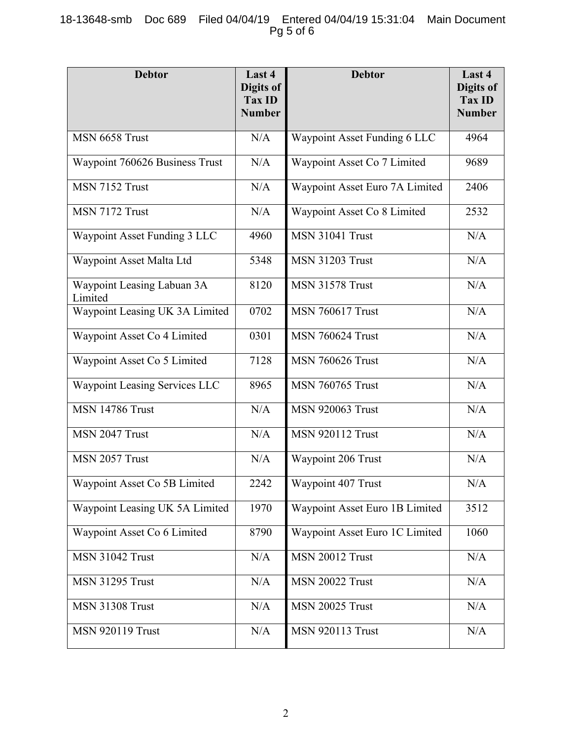# 18-13648-smb Doc 689 Filed 04/04/19 Entered 04/04/19 15:31:04 Main Document Pg 5 of 6

| <b>Debtor</b>                         | Last 4<br>Digits of<br>Tax ID<br><b>Number</b> | <b>Debtor</b>                  | Last 4<br>Digits of<br><b>Tax ID</b><br><b>Number</b> |
|---------------------------------------|------------------------------------------------|--------------------------------|-------------------------------------------------------|
| MSN 6658 Trust                        | N/A                                            | Waypoint Asset Funding 6 LLC   | 4964                                                  |
| Waypoint 760626 Business Trust        | N/A                                            | Waypoint Asset Co 7 Limited    | 9689                                                  |
| MSN 7152 Trust                        | N/A                                            | Waypoint Asset Euro 7A Limited | 2406                                                  |
| MSN 7172 Trust                        | N/A                                            | Waypoint Asset Co 8 Limited    | 2532                                                  |
| Waypoint Asset Funding 3 LLC          | 4960                                           | <b>MSN 31041 Trust</b>         | N/A                                                   |
| Waypoint Asset Malta Ltd              | 5348                                           | <b>MSN 31203 Trust</b>         | N/A                                                   |
| Waypoint Leasing Labuan 3A<br>Limited | 8120                                           | <b>MSN 31578 Trust</b>         | N/A                                                   |
| Waypoint Leasing UK 3A Limited        | 0702                                           | <b>MSN 760617 Trust</b>        | N/A                                                   |
| Waypoint Asset Co 4 Limited           | 0301                                           | <b>MSN 760624 Trust</b>        | N/A                                                   |
| Waypoint Asset Co 5 Limited           | 7128                                           | <b>MSN 760626 Trust</b>        | N/A                                                   |
| Waypoint Leasing Services LLC         | 8965                                           | <b>MSN 760765 Trust</b>        | N/A                                                   |
| <b>MSN 14786 Trust</b>                | N/A                                            | <b>MSN 920063 Trust</b>        | N/A                                                   |
| MSN 2047 Trust                        | N/A                                            | <b>MSN 920112 Trust</b>        | N/A                                                   |
| MSN 2057 Trust                        | N/A                                            | Waypoint 206 Trust             | N/A                                                   |
| Waypoint Asset Co 5B Limited          | 2242                                           | Waypoint 407 Trust             | N/A                                                   |
| Waypoint Leasing UK 5A Limited        | 1970                                           | Waypoint Asset Euro 1B Limited | 3512                                                  |
| Waypoint Asset Co 6 Limited           | 8790                                           | Waypoint Asset Euro 1C Limited | 1060                                                  |
| <b>MSN 31042 Trust</b>                | N/A                                            | <b>MSN 20012 Trust</b>         | N/A                                                   |
| <b>MSN 31295 Trust</b>                | N/A                                            | <b>MSN 20022 Trust</b>         | N/A                                                   |
| <b>MSN 31308 Trust</b>                | N/A                                            | <b>MSN 20025 Trust</b>         | N/A                                                   |
| <b>MSN 920119 Trust</b>               | N/A                                            | <b>MSN 920113 Trust</b>        | N/A                                                   |